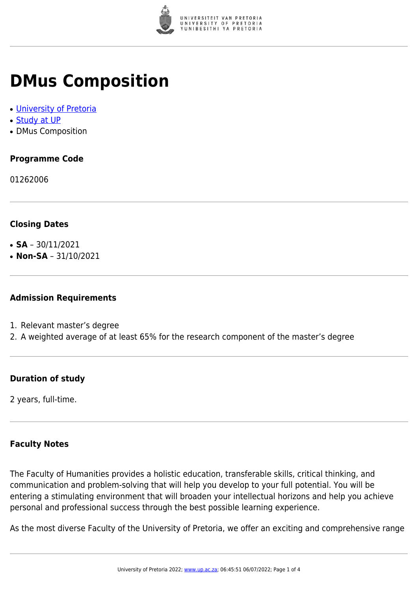

## **DMus Composition**

- [University of Pretoria](https://www.up.ac.za/home)
- [Study at UP](https://www.up.ac.za/programmes)
- DMus Composition

### **Programme Code**

01262006

#### **Closing Dates**

- **SA**  $30/11/2021$
- $\cdot$  **Non-SA** 31/10/2021

#### **Admission Requirements**

- 1. Relevant master's degree
- 2. A weighted average of at least 65% for the research component of the master's degree

#### **Duration of study**

2 years, full-time.

#### **Faculty Notes**

The Faculty of Humanities provides a holistic education, transferable skills, critical thinking, and communication and problem-solving that will help you develop to your full potential. You will be entering a stimulating environment that will broaden your intellectual horizons and help you achieve personal and professional success through the best possible learning experience.

As the most diverse Faculty of the University of Pretoria, we offer an exciting and comprehensive range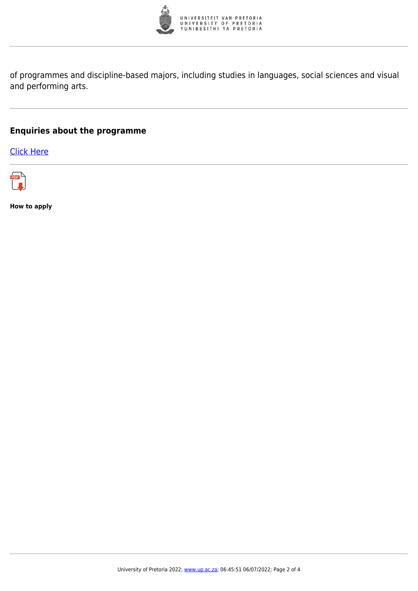

of programmes and discipline-based majors, including studies in languages, social sciences and visual and performing arts.

#### **Enquiries about the programme**

[Click Here](https://www.up.ac.za/postgraduate-students)



**How to apply**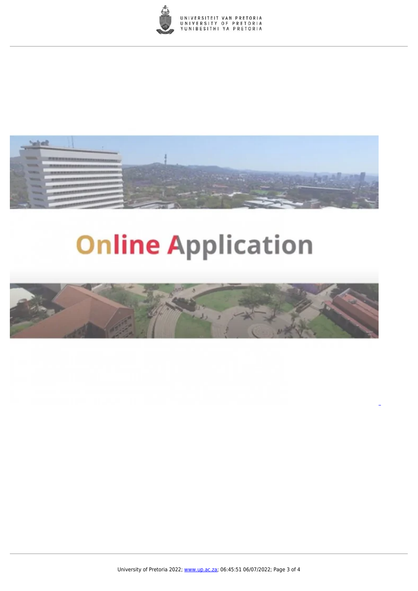



# **Online Application**